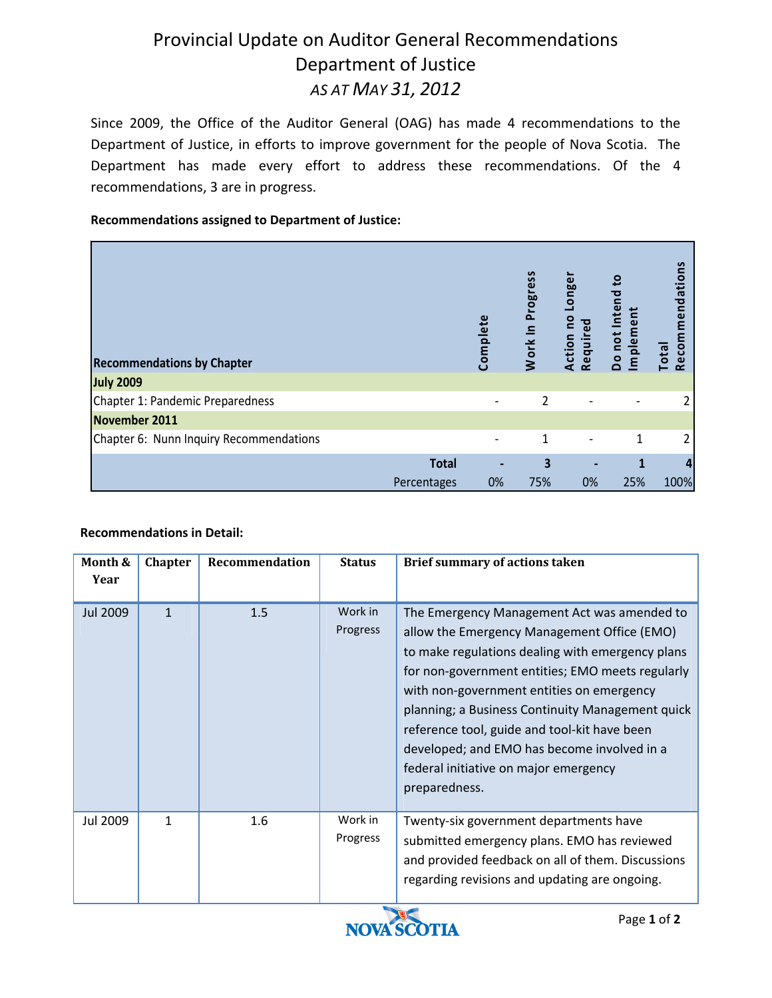## Provincial Update on Auditor General Recommendations Department of Justice *AS AT MAY 31, 2012*

Since 2009, the Office of the Auditor General (OAG) has made 4 recommendations to the Department of Justice, in efforts to improve government for the people of Nova Scotia. The Department has made every effort to address these recommendations. Of the 4 recommendations, 3 are in progress.

### **Recommendations assigned to Department of Justice:**

| <b>Recommendations by Chapter</b>       |              | Complete | Work In Progress | Longer<br><b>Pa</b><br>Required<br>Action | $\mathbf{e}$<br>ᅙ<br>Do not Inte<br>Implemen | mendations<br>Recom<br>Total |
|-----------------------------------------|--------------|----------|------------------|-------------------------------------------|----------------------------------------------|------------------------------|
| <b>July 2009</b>                        |              |          |                  |                                           |                                              |                              |
| Chapter 1: Pandemic Preparedness        |              |          | 2                |                                           |                                              |                              |
| November 2011                           |              |          |                  |                                           |                                              |                              |
| Chapter 6: Nunn Inquiry Recommendations |              |          | 1                |                                           | 1                                            |                              |
|                                         | <b>Total</b> |          | 3                |                                           |                                              | 4                            |
|                                         | Percentages  | 0%       | 75%              | 0%                                        | 25%                                          | 100%                         |

### **Recommendations in Detail:**

| Month &<br>Year | <b>Chapter</b> | Recommendation | <b>Status</b>                                   | <b>Brief summary of actions taken</b>                                                                                                                                                                                                                                                                                                                                                                                                                        |
|-----------------|----------------|----------------|-------------------------------------------------|--------------------------------------------------------------------------------------------------------------------------------------------------------------------------------------------------------------------------------------------------------------------------------------------------------------------------------------------------------------------------------------------------------------------------------------------------------------|
| <b>Jul 2009</b> | 1              | 1.5            | Work in<br>Progress                             | The Emergency Management Act was amended to<br>allow the Emergency Management Office (EMO)<br>to make regulations dealing with emergency plans<br>for non-government entities; EMO meets regularly<br>with non-government entities on emergency<br>planning; a Business Continuity Management quick<br>reference tool, guide and tool-kit have been<br>developed; and EMO has become involved in a<br>federal initiative on major emergency<br>preparedness. |
| Jul 2009        | 1              | 1.6            | Work in<br>Progress<br><b>Contract Contract</b> | Twenty-six government departments have<br>submitted emergency plans. EMO has reviewed<br>and provided feedback on all of them. Discussions<br>regarding revisions and updating are ongoing.                                                                                                                                                                                                                                                                  |